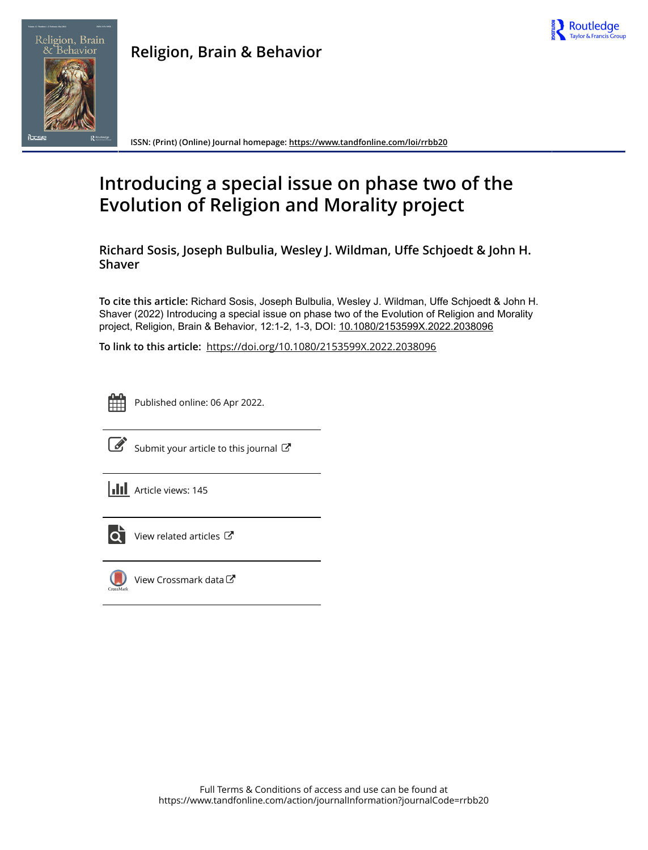





**ISSN: (Print) (Online) Journal homepage:<https://www.tandfonline.com/loi/rrbb20>**

## **Introducing a special issue on phase two of the Evolution of Religion and Morality project**

**Richard Sosis, Joseph Bulbulia, Wesley J. Wildman, Uffe Schjoedt & John H. Shaver**

**To cite this article:** Richard Sosis, Joseph Bulbulia, Wesley J. Wildman, Uffe Schjoedt & John H. Shaver (2022) Introducing a special issue on phase two of the Evolution of Religion and Morality project, Religion, Brain & Behavior, 12:1-2, 1-3, DOI: [10.1080/2153599X.2022.2038096](https://www.tandfonline.com/action/showCitFormats?doi=10.1080/2153599X.2022.2038096)

**To link to this article:** <https://doi.org/10.1080/2153599X.2022.2038096>



Published online: 06 Apr 2022.



 $\overrightarrow{S}$  [Submit your article to this journal](https://www.tandfonline.com/action/authorSubmission?journalCode=rrbb20&show=instructions)  $\overrightarrow{S}$ 

**Article views: 145** 



 $\overrightarrow{Q}$  [View related articles](https://www.tandfonline.com/doi/mlt/10.1080/2153599X.2022.2038096)  $\overrightarrow{C}$ 



 $\bigcirc$  [View Crossmark data](http://crossmark.crossref.org/dialog/?doi=10.1080/2153599X.2022.2038096&domain=pdf&date_stamp=2022-04-06) $\mathbb{Z}$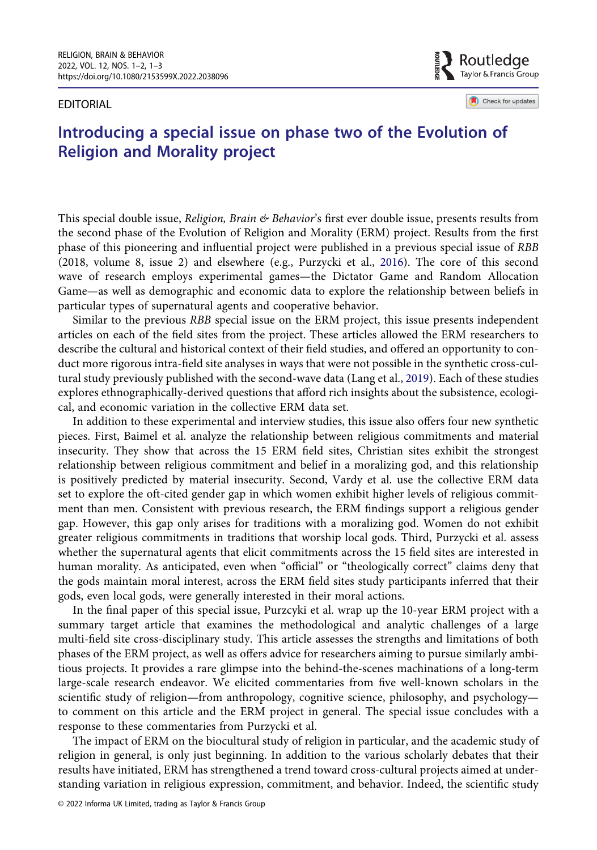EDITORIAL

Taylor & Francis Group Check for updates

Routledge

## Introducing a special issue on phase two of the Evolution of Religion and Morality project

<span id="page-1-1"></span>This special double issue, Religion, Brain & Behavior's first ever double issue, presents results from the second phase of the Evolution of Religion and Morality (ERM) project. Results from the first phase of this pioneering and influential project were published in a previous special issue of RBB (2018, volume 8, issue 2) and elsewhere (e.g., Purzycki et al., [2016](#page-2-0)). The core of this second wave of research employs experimental games—the Dictator Game and Random Allocation Game—as well as demographic and economic data to explore the relationship between beliefs in particular types of supernatural agents and cooperative behavior.

<span id="page-1-0"></span>Similar to the previous RBB special issue on the ERM project, this issue presents independent articles on each of the field sites from the project. These articles allowed the ERM researchers to describe the cultural and historical context of their field studies, and offered an opportunity to conduct more rigorous intra-field site analyses in ways that were not possible in the synthetic cross-cultural study previously published with the second-wave data (Lang et al., [2019\)](#page-2-1). Each of these studies explores ethnographically-derived questions that afford rich insights about the subsistence, ecological, and economic variation in the collective ERM data set.

In addition to these experimental and interview studies, this issue also offers four new synthetic pieces. First, Baimel et al. analyze the relationship between religious commitments and material insecurity. They show that across the 15 ERM field sites, Christian sites exhibit the strongest relationship between religious commitment and belief in a moralizing god, and this relationship is positively predicted by material insecurity. Second, Vardy et al. use the collective ERM data set to explore the oft-cited gender gap in which women exhibit higher levels of religious commitment than men. Consistent with previous research, the ERM findings support a religious gender gap. However, this gap only arises for traditions with a moralizing god. Women do not exhibit greater religious commitments in traditions that worship local gods. Third, Purzycki et al. assess whether the supernatural agents that elicit commitments across the 15 field sites are interested in human morality. As anticipated, even when "official" or "theologically correct" claims deny that the gods maintain moral interest, across the ERM field sites study participants inferred that their gods, even local gods, were generally interested in their moral actions.

In the final paper of this special issue, Purzcyki et al. wrap up the 10-year ERM project with a summary target article that examines the methodological and analytic challenges of a large multi-field site cross-disciplinary study. This article assesses the strengths and limitations of both phases of the ERM project, as well as offers advice for researchers aiming to pursue similarly ambitious projects. It provides a rare glimpse into the behind-the-scenes machinations of a long-term large-scale research endeavor. We elicited commentaries from five well-known scholars in the scientific study of religion—from anthropology, cognitive science, philosophy, and psychology to comment on this article and the ERM project in general. The special issue concludes with a response to these commentaries from Purzycki et al.

The impact of ERM on the biocultural study of religion in particular, and the academic study of religion in general, is only just beginning. In addition to the various scholarly debates that their results have initiated, ERM has strengthened a trend toward cross-cultural projects aimed at understanding variation in religious expression, commitment, and behavior. Indeed, the scientific study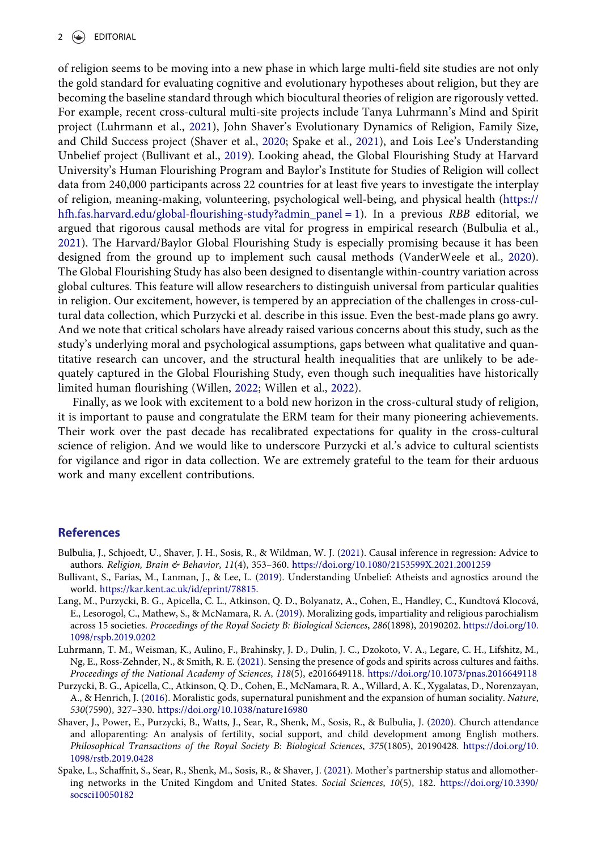<span id="page-2-10"></span><span id="page-2-9"></span><span id="page-2-8"></span><span id="page-2-7"></span>of religion seems to be moving into a new phase in which large multi-field site studies are not only the gold standard for evaluating cognitive and evolutionary hypotheses about religion, but they are becoming the baseline standard through which biocultural theories of religion are rigorously vetted. For example, recent cross-cultural multi-site projects include Tanya Luhrmann's Mind and Spirit project (Luhrmann et al., [2021](#page-2-2)), John Shaver's Evolutionary Dynamics of Religion, Family Size, and Child Success project (Shaver et al., [2020](#page-2-3); Spake et al., [2021](#page-2-4)), and Lois Lee's Understanding Unbelief project (Bullivant et al., [2019\)](#page-2-5). Looking ahead, the Global Flourishing Study at Harvard University's Human Flourishing Program and Baylor's Institute for Studies of Religion will collect data from 240,000 participants across 22 countries for at least five years to investigate the interplay of religion, meaning-making, volunteering, psychological well-being, and physical health ([https://](https://hfh.fas.harvard.edu/global-flourishing-study?admin_panel=1) hfh.fas.harvard.edu/global-fl[ourishing-study?admin\\_panel = 1\)](https://hfh.fas.harvard.edu/global-flourishing-study?admin_panel=1). In a previous RBB editorial, we argued that rigorous causal methods are vital for progress in empirical research (Bulbulia et al., [2021](#page-2-6)). The Harvard/Baylor Global Flourishing Study is especially promising because it has been designed from the ground up to implement such causal methods (VanderWeele et al., [2020](#page-3-0)). The Global Flourishing Study has also been designed to disentangle within-country variation across global cultures. This feature will allow researchers to distinguish universal from particular qualities in religion. Our excitement, however, is tempered by an appreciation of the challenges in cross-cultural data collection, which Purzycki et al. describe in this issue. Even the best-made plans go awry. And we note that critical scholars have already raised various concerns about this study, such as the study's underlying moral and psychological assumptions, gaps between what qualitative and quantitative research can uncover, and the structural health inequalities that are unlikely to be adequately captured in the Global Flourishing Study, even though such inequalities have historically limited human flourishing (Willen, [2022](#page-3-1); Willen et al., [2022\)](#page-3-2).

<span id="page-2-12"></span><span id="page-2-11"></span>Finally, as we look with excitement to a bold new horizon in the cross-cultural study of religion, it is important to pause and congratulate the ERM team for their many pioneering achievements. Their work over the past decade has recalibrated expectations for quality in the cross-cultural science of religion. And we would like to underscore Purzycki et al.'s advice to cultural scientists for vigilance and rigor in data collection. We are extremely grateful to the team for their arduous work and many excellent contributions.

## References

- <span id="page-2-6"></span>Bulbulia, J., Schjoedt, U., Shaver, J. H., Sosis, R., & Wildman, W. J. ([2021\)](#page-2-7). Causal inference in regression: Advice to authors. Religion, Brain & Behavior, 11(4), 353–360. <https://doi.org/10.1080/2153599X.2021.2001259>
- <span id="page-2-5"></span>Bullivant, S., Farias, M., Lanman, J., & Lee, L. ([2019](#page-2-8)). Understanding Unbelief: Atheists and agnostics around the world. [https://kar.kent.ac.uk/id/eprint/78815.](https://kar.kent.ac.uk/id/eprint/78815)
- <span id="page-2-1"></span>Lang, M., Purzycki, B. G., Apicella, C. L., Atkinson, Q. D., Bolyanatz, A., Cohen, E., Handley, C., Kundtová Klocová, E., Lesorogol, C., Mathew, S., & McNamara, R. A. ([2019](#page-1-0)). Moralizing gods, impartiality and religious parochialism across 15 societies. Proceedings of the Royal Society B: Biological Sciences, 286(1898), 20190202. [https://doi.org/10.](https://doi.org/10.1098/rspb.2019.0202) [1098/rspb.2019.0202](https://doi.org/10.1098/rspb.2019.0202)
- <span id="page-2-2"></span>Luhrmann, T. M., Weisman, K., Aulino, F., Brahinsky, J. D., Dulin, J. C., Dzokoto, V. A., Legare, C. H., Lifshitz, M., Ng, E., Ross-Zehnder, N., & Smith, R. E. ([2021](#page-2-9)). Sensing the presence of gods and spirits across cultures and faiths. Proceedings of the National Academy of Sciences, 118(5), e2016649118. <https://doi.org/10.1073/pnas.2016649118>
- <span id="page-2-0"></span>Purzycki, B. G., Apicella, C., Atkinson, Q. D., Cohen, E., McNamara, R. A., Willard, A. K., Xygalatas, D., Norenzayan, A., & Henrich, J. ([2016\)](#page-1-1). Moralistic gods, supernatural punishment and the expansion of human sociality. Nature, 530(7590), 327–330. <https://doi.org/10.1038/nature16980>
- <span id="page-2-3"></span>Shaver, J., Power, E., Purzycki, B., Watts, J., Sear, R., Shenk, M., Sosis, R., & Bulbulia, J. ([2020](#page-2-10)). Church attendance and alloparenting: An analysis of fertility, social support, and child development among English mothers. Philosophical Transactions of the Royal Society B: Biological Sciences, 375(1805), 20190428. [https://doi.org/10.](https://doi.org/10.1098/rstb.2019.0428) [1098/rstb.2019.0428](https://doi.org/10.1098/rstb.2019.0428)
- <span id="page-2-4"></span>Spake, L., Schaffnit, S., Sear, R., Shenk, M., Sosis, R., & Shaver, J. ([2021\)](#page-2-10). Mother's partnership status and allomothering networks in the United Kingdom and United States. Social Sciences, 10(5), 182. [https://doi.org/10.3390/](https://doi.org/10.3390/socsci10050182) [socsci10050182](https://doi.org/10.3390/socsci10050182)